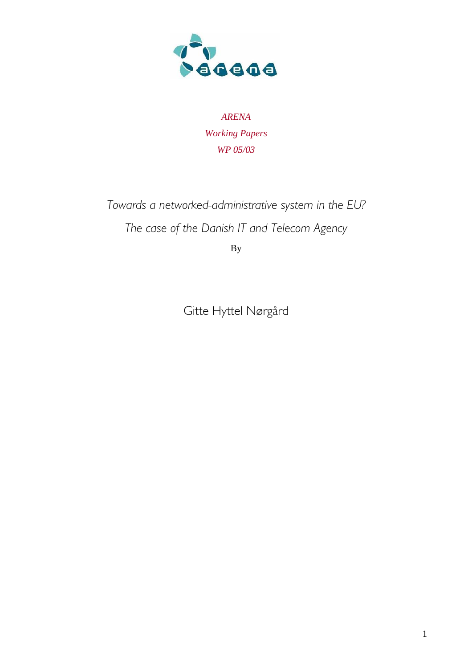

*ARENA Working Papers WP 05/03* 

*Towards a networked-administrative system in the EU? The case of the Danish IT and Telecom Agency* 

By

Gitte Hyttel Nørgård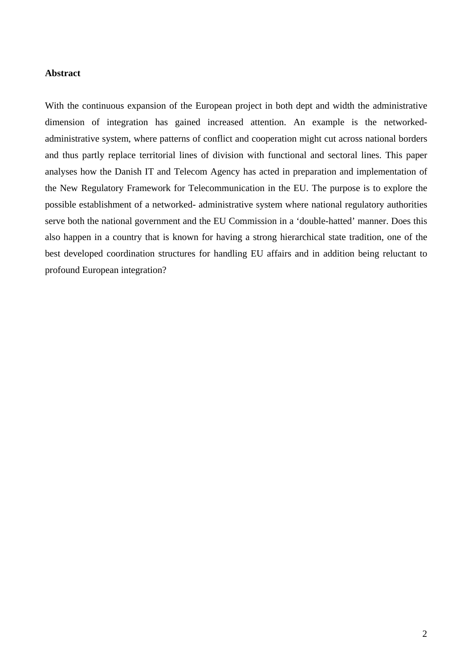#### **Abstract**

With the continuous expansion of the European project in both dept and width the administrative dimension of integration has gained increased attention. An example is the networkedadministrative system, where patterns of conflict and cooperation might cut across national borders and thus partly replace territorial lines of division with functional and sectoral lines. This paper analyses how the Danish IT and Telecom Agency has acted in preparation and implementation of the New Regulatory Framework for Telecommunication in the EU. The purpose is to explore the possible establishment of a networked- administrative system where national regulatory authorities serve both the national government and the EU Commission in a 'double-hatted' manner. Does this also happen in a country that is known for having a strong hierarchical state tradition, one of the best developed coordination structures for handling EU affairs and in addition being reluctant to profound European integration?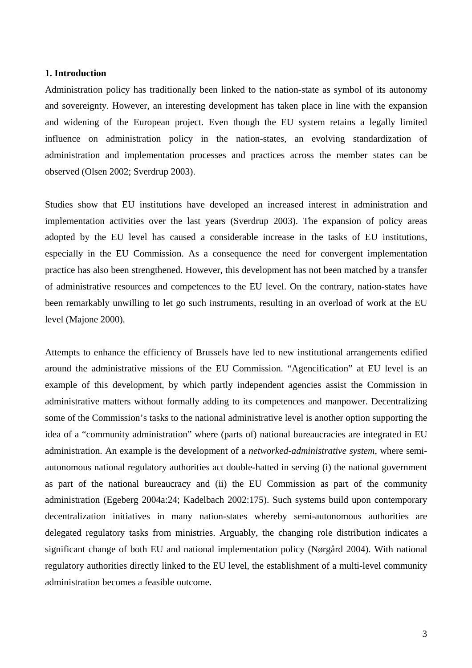#### **1. Introduction**

Administration policy has traditionally been linked to the nation-state as symbol of its autonomy and sovereignty. However, an interesting development has taken place in line with the expansion and widening of the European project. Even though the EU system retains a legally limited influence on administration policy in the nation-states, an evolving standardization of administration and implementation processes and practices across the member states can be observed (Olsen 2002; Sverdrup 2003).

Studies show that EU institutions have developed an increased interest in administration and implementation activities over the last years (Sverdrup 2003). The expansion of policy areas adopted by the EU level has caused a considerable increase in the tasks of EU institutions, especially in the EU Commission. As a consequence the need for convergent implementation practice has also been strengthened. However, this development has not been matched by a transfer of administrative resources and competences to the EU level. On the contrary, nation-states have been remarkably unwilling to let go such instruments, resulting in an overload of work at the EU level (Majone 2000).

Attempts to enhance the efficiency of Brussels have led to new institutional arrangements edified around the administrative missions of the EU Commission. "Agencification" at EU level is an example of this development, by which partly independent agencies assist the Commission in administrative matters without formally adding to its competences and manpower. Decentralizing some of the Commission's tasks to the national administrative level is another option supporting the idea of a "community administration" where (parts of) national bureaucracies are integrated in EU administration. An example is the development of a *networked-administrative system*, where semiautonomous national regulatory authorities act double-hatted in serving (i) the national government as part of the national bureaucracy and (ii) the EU Commission as part of the community administration (Egeberg 2004a:24; Kadelbach 2002:175). Such systems build upon contemporary decentralization initiatives in many nation-states whereby semi-autonomous authorities are delegated regulatory tasks from ministries. Arguably, the changing role distribution indicates a significant change of both EU and national implementation policy (Nørgård 2004). With national regulatory authorities directly linked to the EU level, the establishment of a multi-level community administration becomes a feasible outcome.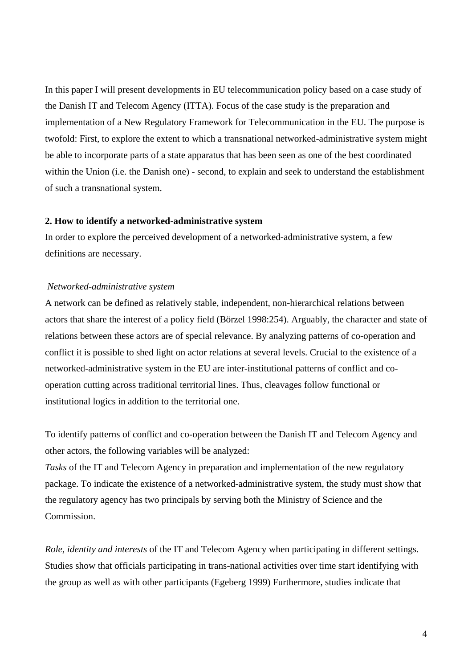In this paper I will present developments in EU telecommunication policy based on a case study of the Danish IT and Telecom Agency (ITTA). Focus of the case study is the preparation and implementation of a New Regulatory Framework for Telecommunication in the EU. The purpose is twofold: First, to explore the extent to which a transnational networked-administrative system might be able to incorporate parts of a state apparatus that has been seen as one of the best coordinated within the Union (i.e. the Danish one) - second, to explain and seek to understand the establishment of such a transnational system.

# **2. How to identify a networked-administrative system**

In order to explore the perceived development of a networked-administrative system, a few definitions are necessary.

## *Networked-administrative system*

A network can be defined as relatively stable, independent, non-hierarchical relations between actors that share the interest of a policy field (Börzel 1998:254). Arguably, the character and state of relations between these actors are of special relevance. By analyzing patterns of co-operation and conflict it is possible to shed light on actor relations at several levels. Crucial to the existence of a networked-administrative system in the EU are inter-institutional patterns of conflict and cooperation cutting across traditional territorial lines. Thus, cleavages follow functional or institutional logics in addition to the territorial one.

To identify patterns of conflict and co-operation between the Danish IT and Telecom Agency and other actors, the following variables will be analyzed:

*Tasks* of the IT and Telecom Agency in preparation and implementation of the new regulatory package. To indicate the existence of a networked-administrative system, the study must show that the regulatory agency has two principals by serving both the Ministry of Science and the Commission.

*Role, identity and interests* of the IT and Telecom Agency when participating in different settings. Studies show that officials participating in trans-national activities over time start identifying with the group as well as with other participants (Egeberg 1999) Furthermore, studies indicate that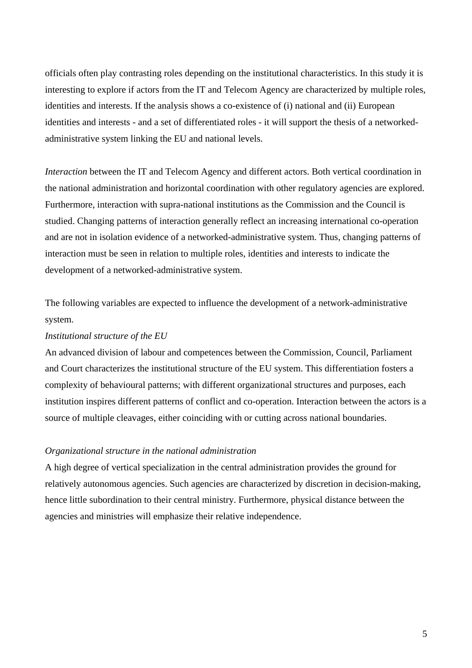officials often play contrasting roles depending on the institutional characteristics. In this study it is interesting to explore if actors from the IT and Telecom Agency are characterized by multiple roles, identities and interests. If the analysis shows a co-existence of (i) national and (ii) European identities and interests - and a set of differentiated roles - it will support the thesis of a networkedadministrative system linking the EU and national levels.

*Interaction* between the IT and Telecom Agency and different actors. Both vertical coordination in the national administration and horizontal coordination with other regulatory agencies are explored. Furthermore, interaction with supra-national institutions as the Commission and the Council is studied. Changing patterns of interaction generally reflect an increasing international co-operation and are not in isolation evidence of a networked-administrative system. Thus, changing patterns of interaction must be seen in relation to multiple roles, identities and interests to indicate the development of a networked-administrative system.

The following variables are expected to influence the development of a network-administrative system.

# *Institutional structure of the EU*

An advanced division of labour and competences between the Commission, Council, Parliament and Court characterizes the institutional structure of the EU system. This differentiation fosters a complexity of behavioural patterns; with different organizational structures and purposes, each institution inspires different patterns of conflict and co-operation. Interaction between the actors is a source of multiple cleavages, either coinciding with or cutting across national boundaries.

## *Organizational structure in the national administration*

A high degree of vertical specialization in the central administration provides the ground for relatively autonomous agencies. Such agencies are characterized by discretion in decision-making, hence little subordination to their central ministry. Furthermore, physical distance between the agencies and ministries will emphasize their relative independence.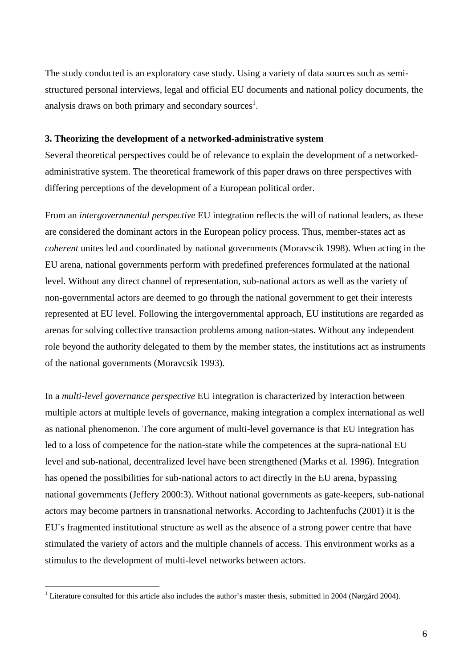The study conducted is an exploratory case study. Using a variety of data sources such as semistructured personal interviews, legal and official EU documents and national policy documents, the analysis draws on both primary and secondary sources<sup>1</sup>.

# **3. Theorizing the development of a networked-administrative system**

Several theoretical perspectives could be of relevance to explain the development of a networkedadministrative system. The theoretical framework of this paper draws on three perspectives with differing perceptions of the development of a European political order.

From an *intergovernmental perspective* EU integration reflects the will of national leaders, as these are considered the dominant actors in the European policy process. Thus, member-states act as *coherent* unites led and coordinated by national governments (Moravscik 1998). When acting in the EU arena, national governments perform with predefined preferences formulated at the national level. Without any direct channel of representation, sub-national actors as well as the variety of non-governmental actors are deemed to go through the national government to get their interests represented at EU level. Following the intergovernmental approach, EU institutions are regarded as arenas for solving collective transaction problems among nation-states. Without any independent role beyond the authority delegated to them by the member states, the institutions act as instruments of the national governments (Moravcsik 1993).

In a *multi-level governance perspective* EU integration is characterized by interaction between multiple actors at multiple levels of governance, making integration a complex international as well as national phenomenon. The core argument of multi-level governance is that EU integration has led to a loss of competence for the nation-state while the competences at the supra-national EU level and sub-national, decentralized level have been strengthened (Marks et al. 1996). Integration has opened the possibilities for sub-national actors to act directly in the EU arena, bypassing national governments (Jeffery 2000:3). Without national governments as gate-keepers, sub-national actors may become partners in transnational networks. According to Jachtenfuchs (2001) it is the EU´s fragmented institutional structure as well as the absence of a strong power centre that have stimulated the variety of actors and the multiple channels of access. This environment works as a stimulus to the development of multi-level networks between actors.

 $\overline{a}$ 

<sup>&</sup>lt;sup>1</sup> Literature consulted for this article also includes the author's master thesis, submitted in 2004 (Nørgård 2004).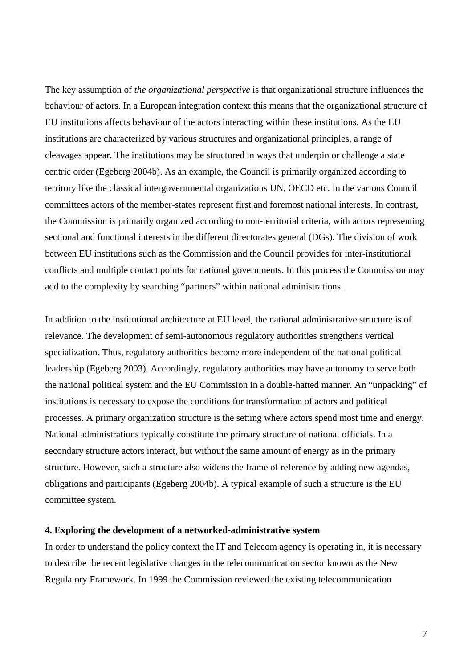The key assumption of *the organizational perspective* is that organizational structure influences the behaviour of actors. In a European integration context this means that the organizational structure of EU institutions affects behaviour of the actors interacting within these institutions. As the EU institutions are characterized by various structures and organizational principles, a range of cleavages appear. The institutions may be structured in ways that underpin or challenge a state centric order (Egeberg 2004b). As an example, the Council is primarily organized according to territory like the classical intergovernmental organizations UN, OECD etc. In the various Council committees actors of the member-states represent first and foremost national interests. In contrast, the Commission is primarily organized according to non-territorial criteria, with actors representing sectional and functional interests in the different directorates general (DGs). The division of work between EU institutions such as the Commission and the Council provides for inter-institutional conflicts and multiple contact points for national governments. In this process the Commission may add to the complexity by searching "partners" within national administrations.

In addition to the institutional architecture at EU level, the national administrative structure is of relevance. The development of semi-autonomous regulatory authorities strengthens vertical specialization. Thus, regulatory authorities become more independent of the national political leadership (Egeberg 2003). Accordingly, regulatory authorities may have autonomy to serve both the national political system and the EU Commission in a double-hatted manner. An "unpacking" of institutions is necessary to expose the conditions for transformation of actors and political processes. A primary organization structure is the setting where actors spend most time and energy. National administrations typically constitute the primary structure of national officials. In a secondary structure actors interact, but without the same amount of energy as in the primary structure. However, such a structure also widens the frame of reference by adding new agendas, obligations and participants (Egeberg 2004b). A typical example of such a structure is the EU committee system.

# **4. Exploring the development of a networked-administrative system**

In order to understand the policy context the IT and Telecom agency is operating in, it is necessary to describe the recent legislative changes in the telecommunication sector known as the New Regulatory Framework. In 1999 the Commission reviewed the existing telecommunication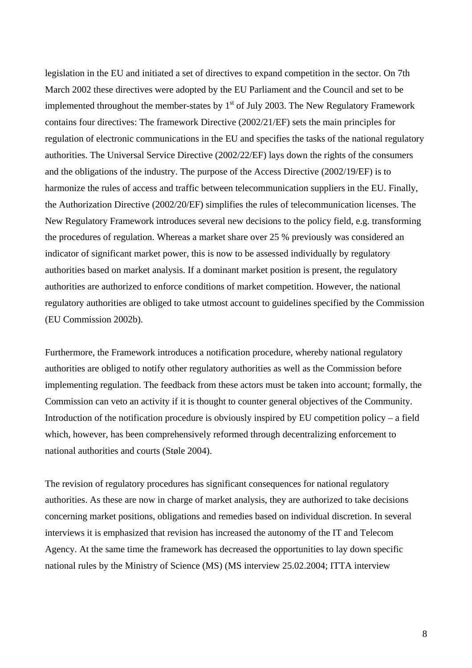legislation in the EU and initiated a set of directives to expand competition in the sector. On 7th March 2002 these directives were adopted by the EU Parliament and the Council and set to be implemented throughout the member-states by  $1<sup>st</sup>$  of July 2003. The New Regulatory Framework contains four directives: The framework Directive (2002/21/EF) sets the main principles for regulation of electronic communications in the EU and specifies the tasks of the national regulatory authorities. The Universal Service Directive (2002/22/EF) lays down the rights of the consumers and the obligations of the industry. The purpose of the Access Directive (2002/19/EF) is to harmonize the rules of access and traffic between telecommunication suppliers in the EU. Finally, the Authorization Directive (2002/20/EF) simplifies the rules of telecommunication licenses. The New Regulatory Framework introduces several new decisions to the policy field, e.g. transforming the procedures of regulation. Whereas a market share over 25 % previously was considered an indicator of significant market power, this is now to be assessed individually by regulatory authorities based on market analysis. If a dominant market position is present, the regulatory authorities are authorized to enforce conditions of market competition. However, the national regulatory authorities are obliged to take utmost account to guidelines specified by the Commission (EU Commission 2002b).

Furthermore, the Framework introduces a notification procedure, whereby national regulatory authorities are obliged to notify other regulatory authorities as well as the Commission before implementing regulation. The feedback from these actors must be taken into account; formally, the Commission can veto an activity if it is thought to counter general objectives of the Community. Introduction of the notification procedure is obviously inspired by EU competition policy – a field which, however, has been comprehensively reformed through decentralizing enforcement to national authorities and courts (Støle 2004).

The revision of regulatory procedures has significant consequences for national regulatory authorities. As these are now in charge of market analysis, they are authorized to take decisions concerning market positions, obligations and remedies based on individual discretion. In several interviews it is emphasized that revision has increased the autonomy of the IT and Telecom Agency. At the same time the framework has decreased the opportunities to lay down specific national rules by the Ministry of Science (MS) (MS interview 25.02.2004; ITTA interview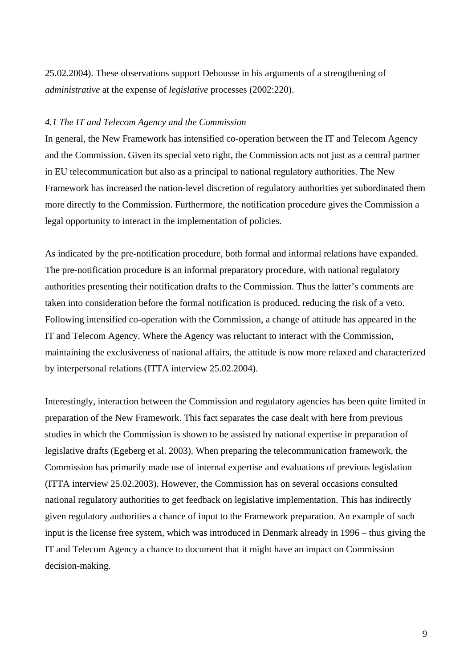25.02.2004). These observations support Dehousse in his arguments of a strengthening of *administrative* at the expense of *legislative* processes (2002:220).

## *4.1 The IT and Telecom Agency and the Commission*

In general, the New Framework has intensified co-operation between the IT and Telecom Agency and the Commission. Given its special veto right, the Commission acts not just as a central partner in EU telecommunication but also as a principal to national regulatory authorities. The New Framework has increased the nation-level discretion of regulatory authorities yet subordinated them more directly to the Commission. Furthermore, the notification procedure gives the Commission a legal opportunity to interact in the implementation of policies.

As indicated by the pre-notification procedure, both formal and informal relations have expanded. The pre-notification procedure is an informal preparatory procedure, with national regulatory authorities presenting their notification drafts to the Commission. Thus the latter's comments are taken into consideration before the formal notification is produced, reducing the risk of a veto. Following intensified co-operation with the Commission, a change of attitude has appeared in the IT and Telecom Agency. Where the Agency was reluctant to interact with the Commission, maintaining the exclusiveness of national affairs, the attitude is now more relaxed and characterized by interpersonal relations (ITTA interview 25.02.2004).

Interestingly, interaction between the Commission and regulatory agencies has been quite limited in preparation of the New Framework. This fact separates the case dealt with here from previous studies in which the Commission is shown to be assisted by national expertise in preparation of legislative drafts (Egeberg et al. 2003). When preparing the telecommunication framework, the Commission has primarily made use of internal expertise and evaluations of previous legislation (ITTA interview 25.02.2003). However, the Commission has on several occasions consulted national regulatory authorities to get feedback on legislative implementation. This has indirectly given regulatory authorities a chance of input to the Framework preparation. An example of such input is the license free system, which was introduced in Denmark already in 1996 – thus giving the IT and Telecom Agency a chance to document that it might have an impact on Commission decision-making.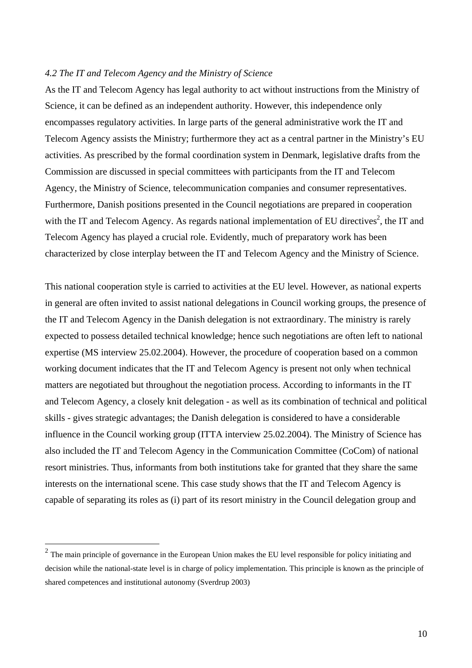## *4.2 The IT and Telecom Agency and the Ministry of Science*

As the IT and Telecom Agency has legal authority to act without instructions from the Ministry of Science, it can be defined as an independent authority. However, this independence only encompasses regulatory activities. In large parts of the general administrative work the IT and Telecom Agency assists the Ministry; furthermore they act as a central partner in the Ministry's EU activities. As prescribed by the formal coordination system in Denmark, legislative drafts from the Commission are discussed in special committees with participants from the IT and Telecom Agency, the Ministry of Science, telecommunication companies and consumer representatives. Furthermore, Danish positions presented in the Council negotiations are prepared in cooperation with the IT and Telecom Agency. As regards national implementation of EU directives<sup>2</sup>, the IT and Telecom Agency has played a crucial role. Evidently, much of preparatory work has been characterized by close interplay between the IT and Telecom Agency and the Ministry of Science.

This national cooperation style is carried to activities at the EU level. However, as national experts in general are often invited to assist national delegations in Council working groups, the presence of the IT and Telecom Agency in the Danish delegation is not extraordinary. The ministry is rarely expected to possess detailed technical knowledge; hence such negotiations are often left to national expertise (MS interview 25.02.2004). However, the procedure of cooperation based on a common working document indicates that the IT and Telecom Agency is present not only when technical matters are negotiated but throughout the negotiation process. According to informants in the IT and Telecom Agency, a closely knit delegation - as well as its combination of technical and political skills - gives strategic advantages; the Danish delegation is considered to have a considerable influence in the Council working group (ITTA interview 25.02.2004). The Ministry of Science has also included the IT and Telecom Agency in the Communication Committee (CoCom) of national resort ministries. Thus, informants from both institutions take for granted that they share the same interests on the international scene. This case study shows that the IT and Telecom Agency is capable of separating its roles as (i) part of its resort ministry in the Council delegation group and

 $\overline{a}$ 

 $2<sup>2</sup>$  The main principle of governance in the European Union makes the EU level responsible for policy initiating and decision while the national-state level is in charge of policy implementation. This principle is known as the principle of shared competences and institutional autonomy (Sverdrup 2003)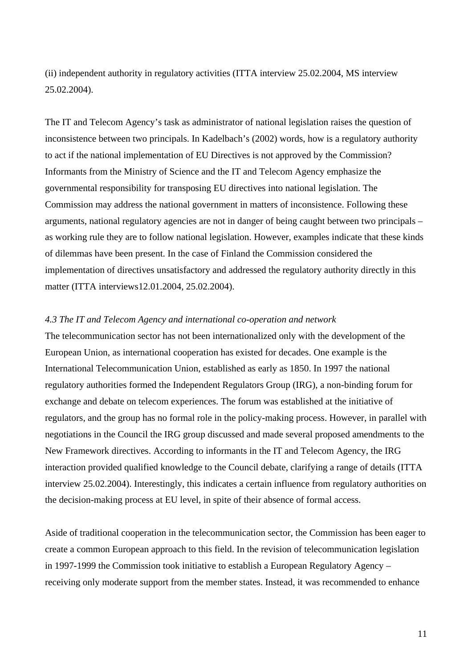(ii) independent authority in regulatory activities (ITTA interview 25.02.2004, MS interview 25.02.2004).

The IT and Telecom Agency's task as administrator of national legislation raises the question of inconsistence between two principals. In Kadelbach's (2002) words, how is a regulatory authority to act if the national implementation of EU Directives is not approved by the Commission? Informants from the Ministry of Science and the IT and Telecom Agency emphasize the governmental responsibility for transposing EU directives into national legislation. The Commission may address the national government in matters of inconsistence. Following these arguments, national regulatory agencies are not in danger of being caught between two principals – as working rule they are to follow national legislation. However, examples indicate that these kinds of dilemmas have been present. In the case of Finland the Commission considered the implementation of directives unsatisfactory and addressed the regulatory authority directly in this matter (ITTA interviews12.01.2004, 25.02.2004).

# *4.3 The IT and Telecom Agency and international co-operation and network*

The telecommunication sector has not been internationalized only with the development of the European Union, as international cooperation has existed for decades. One example is the International Telecommunication Union, established as early as 1850. In 1997 the national regulatory authorities formed the Independent Regulators Group (IRG), a non-binding forum for exchange and debate on telecom experiences. The forum was established at the initiative of regulators, and the group has no formal role in the policy-making process. However, in parallel with negotiations in the Council the IRG group discussed and made several proposed amendments to the New Framework directives. According to informants in the IT and Telecom Agency, the IRG interaction provided qualified knowledge to the Council debate, clarifying a range of details (ITTA interview 25.02.2004). Interestingly, this indicates a certain influence from regulatory authorities on the decision-making process at EU level, in spite of their absence of formal access.

Aside of traditional cooperation in the telecommunication sector, the Commission has been eager to create a common European approach to this field. In the revision of telecommunication legislation in 1997-1999 the Commission took initiative to establish a European Regulatory Agency – receiving only moderate support from the member states. Instead, it was recommended to enhance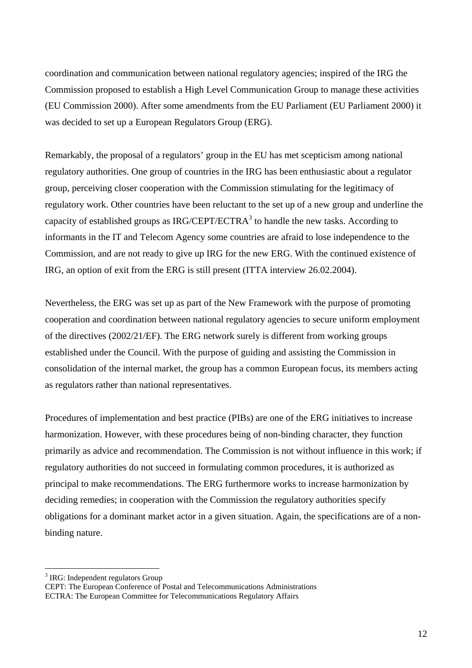coordination and communication between national regulatory agencies; inspired of the IRG the Commission proposed to establish a High Level Communication Group to manage these activities (EU Commission 2000). After some amendments from the EU Parliament (EU Parliament 2000) it was decided to set up a European Regulators Group (ERG).

Remarkably, the proposal of a regulators' group in the EU has met scepticism among national regulatory authorities. One group of countries in the IRG has been enthusiastic about a regulator group, perceiving closer cooperation with the Commission stimulating for the legitimacy of regulatory work. Other countries have been reluctant to the set up of a new group and underline the capacity of established groups as IRG/CEPT/ECTRA<sup>3</sup> to handle the new tasks. According to informants in the IT and Telecom Agency some countries are afraid to lose independence to the Commission, and are not ready to give up IRG for the new ERG. With the continued existence of IRG, an option of exit from the ERG is still present (ITTA interview 26.02.2004).

Nevertheless, the ERG was set up as part of the New Framework with the purpose of promoting cooperation and coordination between national regulatory agencies to secure uniform employment of the directives (2002/21/EF). The ERG network surely is different from working groups established under the Council. With the purpose of guiding and assisting the Commission in consolidation of the internal market, the group has a common European focus, its members acting as regulators rather than national representatives.

Procedures of implementation and best practice (PIBs) are one of the ERG initiatives to increase harmonization. However, with these procedures being of non-binding character, they function primarily as advice and recommendation. The Commission is not without influence in this work; if regulatory authorities do not succeed in formulating common procedures, it is authorized as principal to make recommendations. The ERG furthermore works to increase harmonization by deciding remedies; in cooperation with the Commission the regulatory authorities specify obligations for a dominant market actor in a given situation. Again, the specifications are of a nonbinding nature.

 $\overline{a}$ 

<sup>&</sup>lt;sup>3</sup> IRG: Independent regulators Group

CEPT: The European Conference of Postal and Telecommunications Administrations ECTRA: The European Committee for Telecommunications Regulatory Affairs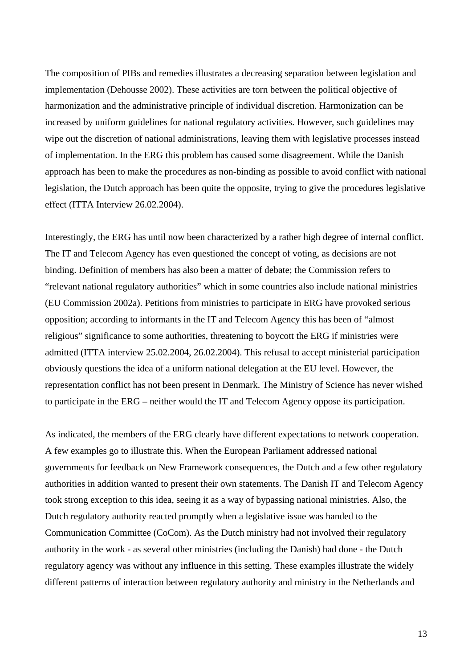The composition of PIBs and remedies illustrates a decreasing separation between legislation and implementation (Dehousse 2002). These activities are torn between the political objective of harmonization and the administrative principle of individual discretion. Harmonization can be increased by uniform guidelines for national regulatory activities. However, such guidelines may wipe out the discretion of national administrations, leaving them with legislative processes instead of implementation. In the ERG this problem has caused some disagreement. While the Danish approach has been to make the procedures as non-binding as possible to avoid conflict with national legislation, the Dutch approach has been quite the opposite, trying to give the procedures legislative effect (ITTA Interview 26.02.2004).

Interestingly, the ERG has until now been characterized by a rather high degree of internal conflict. The IT and Telecom Agency has even questioned the concept of voting, as decisions are not binding. Definition of members has also been a matter of debate; the Commission refers to "relevant national regulatory authorities" which in some countries also include national ministries (EU Commission 2002a). Petitions from ministries to participate in ERG have provoked serious opposition; according to informants in the IT and Telecom Agency this has been of "almost religious" significance to some authorities, threatening to boycott the ERG if ministries were admitted (ITTA interview 25.02.2004, 26.02.2004). This refusal to accept ministerial participation obviously questions the idea of a uniform national delegation at the EU level. However, the representation conflict has not been present in Denmark. The Ministry of Science has never wished to participate in the ERG – neither would the IT and Telecom Agency oppose its participation.

As indicated, the members of the ERG clearly have different expectations to network cooperation. A few examples go to illustrate this. When the European Parliament addressed national governments for feedback on New Framework consequences, the Dutch and a few other regulatory authorities in addition wanted to present their own statements. The Danish IT and Telecom Agency took strong exception to this idea, seeing it as a way of bypassing national ministries. Also, the Dutch regulatory authority reacted promptly when a legislative issue was handed to the Communication Committee (CoCom). As the Dutch ministry had not involved their regulatory authority in the work - as several other ministries (including the Danish) had done - the Dutch regulatory agency was without any influence in this setting. These examples illustrate the widely different patterns of interaction between regulatory authority and ministry in the Netherlands and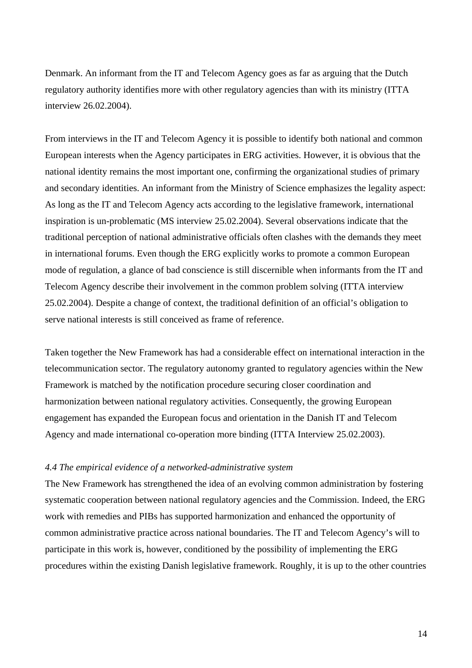Denmark. An informant from the IT and Telecom Agency goes as far as arguing that the Dutch regulatory authority identifies more with other regulatory agencies than with its ministry (ITTA interview 26.02.2004).

From interviews in the IT and Telecom Agency it is possible to identify both national and common European interests when the Agency participates in ERG activities. However, it is obvious that the national identity remains the most important one, confirming the organizational studies of primary and secondary identities. An informant from the Ministry of Science emphasizes the legality aspect: As long as the IT and Telecom Agency acts according to the legislative framework, international inspiration is un-problematic (MS interview 25.02.2004). Several observations indicate that the traditional perception of national administrative officials often clashes with the demands they meet in international forums. Even though the ERG explicitly works to promote a common European mode of regulation, a glance of bad conscience is still discernible when informants from the IT and Telecom Agency describe their involvement in the common problem solving (ITTA interview 25.02.2004). Despite a change of context, the traditional definition of an official's obligation to serve national interests is still conceived as frame of reference.

Taken together the New Framework has had a considerable effect on international interaction in the telecommunication sector. The regulatory autonomy granted to regulatory agencies within the New Framework is matched by the notification procedure securing closer coordination and harmonization between national regulatory activities. Consequently, the growing European engagement has expanded the European focus and orientation in the Danish IT and Telecom Agency and made international co-operation more binding (ITTA Interview 25.02.2003).

# *4.4 The empirical evidence of a networked-administrative system*

The New Framework has strengthened the idea of an evolving common administration by fostering systematic cooperation between national regulatory agencies and the Commission. Indeed, the ERG work with remedies and PIBs has supported harmonization and enhanced the opportunity of common administrative practice across national boundaries. The IT and Telecom Agency's will to participate in this work is, however, conditioned by the possibility of implementing the ERG procedures within the existing Danish legislative framework. Roughly, it is up to the other countries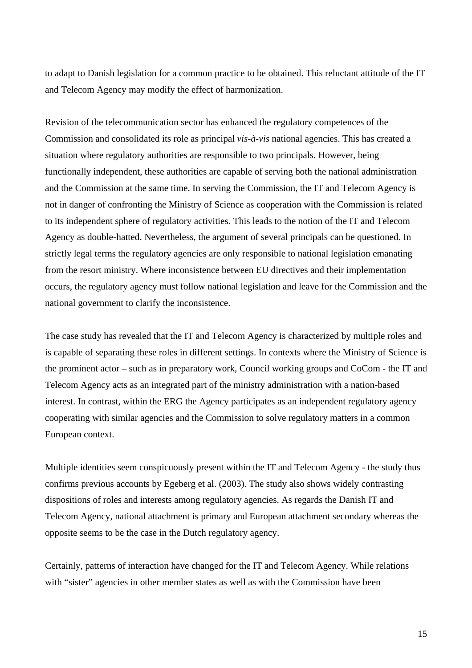to adapt to Danish legislation for a common practice to be obtained. This reluctant attitude of the IT and Telecom Agency may modify the effect of harmonization.

Revision of the telecommunication sector has enhanced the regulatory competences of the Commission and consolidated its role as principal *vis-à-vis* national agencies. This has created a situation where regulatory authorities are responsible to two principals. However, being functionally independent, these authorities are capable of serving both the national administration and the Commission at the same time. In serving the Commission, the IT and Telecom Agency is not in danger of confronting the Ministry of Science as cooperation with the Commission is related to its independent sphere of regulatory activities. This leads to the notion of the IT and Telecom Agency as double-hatted. Nevertheless, the argument of several principals can be questioned. In strictly legal terms the regulatory agencies are only responsible to national legislation emanating from the resort ministry. Where inconsistence between EU directives and their implementation occurs, the regulatory agency must follow national legislation and leave for the Commission and the national government to clarify the inconsistence.

The case study has revealed that the IT and Telecom Agency is characterized by multiple roles and is capable of separating these roles in different settings. In contexts where the Ministry of Science is the prominent actor – such as in preparatory work, Council working groups and CoCom - the IT and Telecom Agency acts as an integrated part of the ministry administration with a nation-based interest. In contrast, within the ERG the Agency participates as an independent regulatory agency cooperating with similar agencies and the Commission to solve regulatory matters in a common European context.

Multiple identities seem conspicuously present within the IT and Telecom Agency - the study thus confirms previous accounts by Egeberg et al. (2003). The study also shows widely contrasting dispositions of roles and interests among regulatory agencies. As regards the Danish IT and Telecom Agency, national attachment is primary and European attachment secondary whereas the opposite seems to be the case in the Dutch regulatory agency.

Certainly, patterns of interaction have changed for the IT and Telecom Agency. While relations with "sister" agencies in other member states as well as with the Commission have been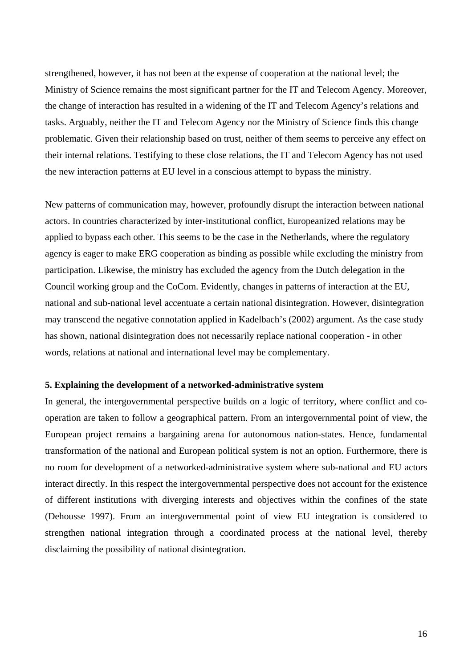strengthened, however, it has not been at the expense of cooperation at the national level; the Ministry of Science remains the most significant partner for the IT and Telecom Agency. Moreover, the change of interaction has resulted in a widening of the IT and Telecom Agency's relations and tasks. Arguably, neither the IT and Telecom Agency nor the Ministry of Science finds this change problematic. Given their relationship based on trust, neither of them seems to perceive any effect on their internal relations. Testifying to these close relations, the IT and Telecom Agency has not used the new interaction patterns at EU level in a conscious attempt to bypass the ministry.

New patterns of communication may, however, profoundly disrupt the interaction between national actors. In countries characterized by inter-institutional conflict, Europeanized relations may be applied to bypass each other. This seems to be the case in the Netherlands, where the regulatory agency is eager to make ERG cooperation as binding as possible while excluding the ministry from participation. Likewise, the ministry has excluded the agency from the Dutch delegation in the Council working group and the CoCom. Evidently, changes in patterns of interaction at the EU, national and sub-national level accentuate a certain national disintegration. However, disintegration may transcend the negative connotation applied in Kadelbach's (2002) argument. As the case study has shown, national disintegration does not necessarily replace national cooperation - in other words, relations at national and international level may be complementary.

#### **5. Explaining the development of a networked-administrative system**

In general, the intergovernmental perspective builds on a logic of territory, where conflict and cooperation are taken to follow a geographical pattern. From an intergovernmental point of view, the European project remains a bargaining arena for autonomous nation-states. Hence, fundamental transformation of the national and European political system is not an option. Furthermore, there is no room for development of a networked-administrative system where sub-national and EU actors interact directly. In this respect the intergovernmental perspective does not account for the existence of different institutions with diverging interests and objectives within the confines of the state (Dehousse 1997). From an intergovernmental point of view EU integration is considered to strengthen national integration through a coordinated process at the national level, thereby disclaiming the possibility of national disintegration.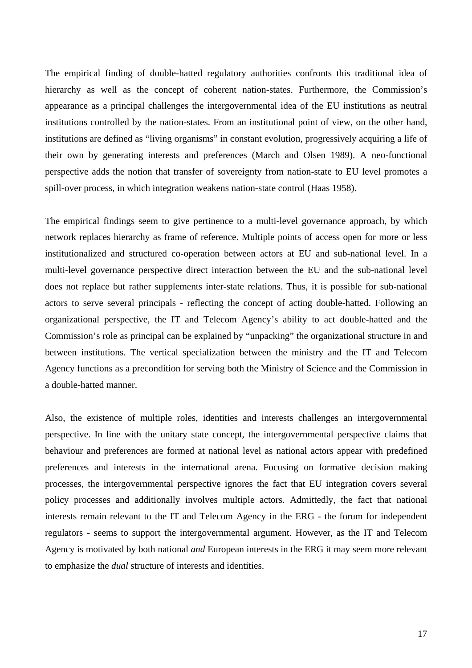The empirical finding of double-hatted regulatory authorities confronts this traditional idea of hierarchy as well as the concept of coherent nation-states. Furthermore, the Commission's appearance as a principal challenges the intergovernmental idea of the EU institutions as neutral institutions controlled by the nation-states. From an institutional point of view, on the other hand, institutions are defined as "living organisms" in constant evolution, progressively acquiring a life of their own by generating interests and preferences (March and Olsen 1989). A neo-functional perspective adds the notion that transfer of sovereignty from nation-state to EU level promotes a spill-over process, in which integration weakens nation-state control (Haas 1958).

The empirical findings seem to give pertinence to a multi-level governance approach, by which network replaces hierarchy as frame of reference. Multiple points of access open for more or less institutionalized and structured co-operation between actors at EU and sub-national level. In a multi-level governance perspective direct interaction between the EU and the sub-national level does not replace but rather supplements inter-state relations. Thus, it is possible for sub-national actors to serve several principals - reflecting the concept of acting double-hatted. Following an organizational perspective, the IT and Telecom Agency's ability to act double-hatted and the Commission's role as principal can be explained by "unpacking" the organizational structure in and between institutions. The vertical specialization between the ministry and the IT and Telecom Agency functions as a precondition for serving both the Ministry of Science and the Commission in a double-hatted manner.

Also, the existence of multiple roles, identities and interests challenges an intergovernmental perspective. In line with the unitary state concept, the intergovernmental perspective claims that behaviour and preferences are formed at national level as national actors appear with predefined preferences and interests in the international arena. Focusing on formative decision making processes, the intergovernmental perspective ignores the fact that EU integration covers several policy processes and additionally involves multiple actors. Admittedly, the fact that national interests remain relevant to the IT and Telecom Agency in the ERG - the forum for independent regulators - seems to support the intergovernmental argument. However, as the IT and Telecom Agency is motivated by both national *and* European interests in the ERG it may seem more relevant to emphasize the *dual* structure of interests and identities.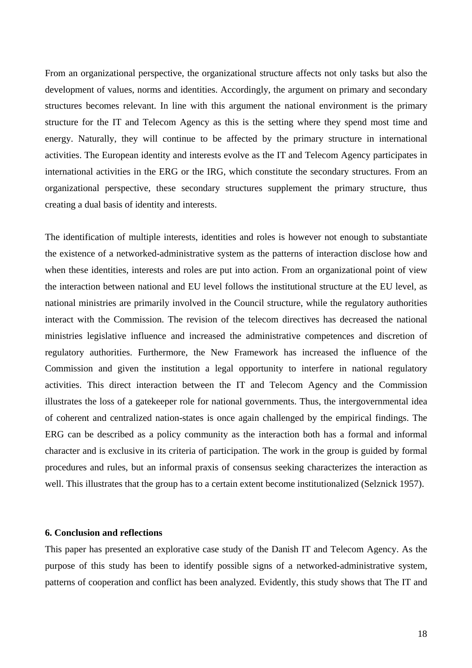From an organizational perspective, the organizational structure affects not only tasks but also the development of values, norms and identities. Accordingly, the argument on primary and secondary structures becomes relevant. In line with this argument the national environment is the primary structure for the IT and Telecom Agency as this is the setting where they spend most time and energy. Naturally, they will continue to be affected by the primary structure in international activities. The European identity and interests evolve as the IT and Telecom Agency participates in international activities in the ERG or the IRG, which constitute the secondary structures. From an organizational perspective, these secondary structures supplement the primary structure, thus creating a dual basis of identity and interests.

The identification of multiple interests, identities and roles is however not enough to substantiate the existence of a networked-administrative system as the patterns of interaction disclose how and when these identities, interests and roles are put into action. From an organizational point of view the interaction between national and EU level follows the institutional structure at the EU level, as national ministries are primarily involved in the Council structure, while the regulatory authorities interact with the Commission. The revision of the telecom directives has decreased the national ministries legislative influence and increased the administrative competences and discretion of regulatory authorities. Furthermore, the New Framework has increased the influence of the Commission and given the institution a legal opportunity to interfere in national regulatory activities. This direct interaction between the IT and Telecom Agency and the Commission illustrates the loss of a gatekeeper role for national governments. Thus, the intergovernmental idea of coherent and centralized nation-states is once again challenged by the empirical findings. The ERG can be described as a policy community as the interaction both has a formal and informal character and is exclusive in its criteria of participation. The work in the group is guided by formal procedures and rules, but an informal praxis of consensus seeking characterizes the interaction as well. This illustrates that the group has to a certain extent become institutionalized (Selznick 1957).

## **6. Conclusion and reflections**

This paper has presented an explorative case study of the Danish IT and Telecom Agency. As the purpose of this study has been to identify possible signs of a networked-administrative system, patterns of cooperation and conflict has been analyzed. Evidently, this study shows that The IT and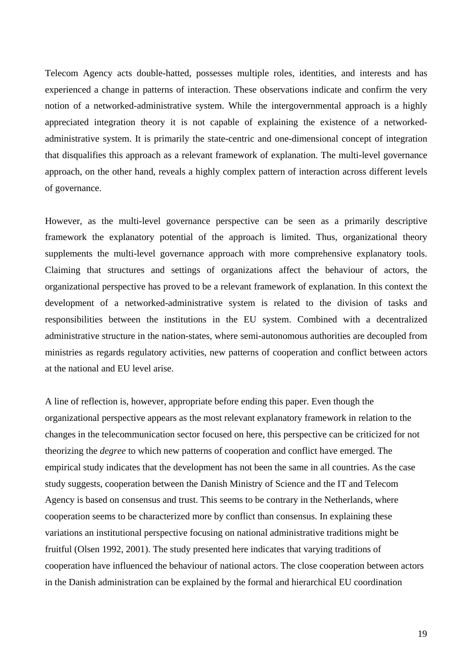Telecom Agency acts double-hatted, possesses multiple roles, identities, and interests and has experienced a change in patterns of interaction. These observations indicate and confirm the very notion of a networked-administrative system. While the intergovernmental approach is a highly appreciated integration theory it is not capable of explaining the existence of a networkedadministrative system. It is primarily the state-centric and one-dimensional concept of integration that disqualifies this approach as a relevant framework of explanation. The multi-level governance approach, on the other hand, reveals a highly complex pattern of interaction across different levels of governance.

However, as the multi-level governance perspective can be seen as a primarily descriptive framework the explanatory potential of the approach is limited. Thus, organizational theory supplements the multi-level governance approach with more comprehensive explanatory tools. Claiming that structures and settings of organizations affect the behaviour of actors, the organizational perspective has proved to be a relevant framework of explanation. In this context the development of a networked-administrative system is related to the division of tasks and responsibilities between the institutions in the EU system. Combined with a decentralized administrative structure in the nation-states, where semi-autonomous authorities are decoupled from ministries as regards regulatory activities, new patterns of cooperation and conflict between actors at the national and EU level arise.

A line of reflection is, however, appropriate before ending this paper. Even though the organizational perspective appears as the most relevant explanatory framework in relation to the changes in the telecommunication sector focused on here, this perspective can be criticized for not theorizing the *degree* to which new patterns of cooperation and conflict have emerged. The empirical study indicates that the development has not been the same in all countries. As the case study suggests, cooperation between the Danish Ministry of Science and the IT and Telecom Agency is based on consensus and trust. This seems to be contrary in the Netherlands, where cooperation seems to be characterized more by conflict than consensus. In explaining these variations an institutional perspective focusing on national administrative traditions might be fruitful (Olsen 1992, 2001). The study presented here indicates that varying traditions of cooperation have influenced the behaviour of national actors. The close cooperation between actors in the Danish administration can be explained by the formal and hierarchical EU coordination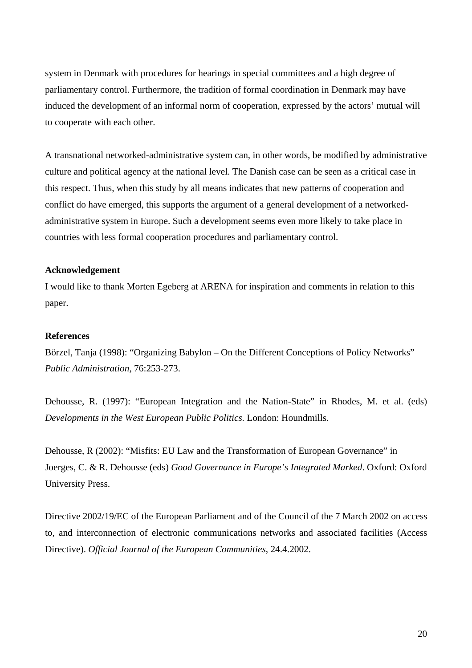system in Denmark with procedures for hearings in special committees and a high degree of parliamentary control. Furthermore, the tradition of formal coordination in Denmark may have induced the development of an informal norm of cooperation, expressed by the actors' mutual will to cooperate with each other.

A transnational networked-administrative system can, in other words, be modified by administrative culture and political agency at the national level. The Danish case can be seen as a critical case in this respect. Thus, when this study by all means indicates that new patterns of cooperation and conflict do have emerged, this supports the argument of a general development of a networkedadministrative system in Europe. Such a development seems even more likely to take place in countries with less formal cooperation procedures and parliamentary control.

# **Acknowledgement**

I would like to thank Morten Egeberg at ARENA for inspiration and comments in relation to this paper.

## **References**

Börzel, Tanja (1998): "Organizing Babylon – On the Different Conceptions of Policy Networks" *Public Administration*, 76:253-273.

Dehousse, R. (1997): "European Integration and the Nation-State" in Rhodes, M. et al. (eds) *Developments in the West European Public Politics*. London: Houndmills.

Dehousse, R (2002): "Misfits: EU Law and the Transformation of European Governance" in Joerges, C. & R. Dehousse (eds) *Good Governance in Europe's Integrated Marked*. Oxford: Oxford University Press.

Directive 2002/19/EC of the European Parliament and of the Council of the 7 March 2002 on access to, and interconnection of electronic communications networks and associated facilities (Access Directive). *Official Journal of the European Communities*, 24.4.2002.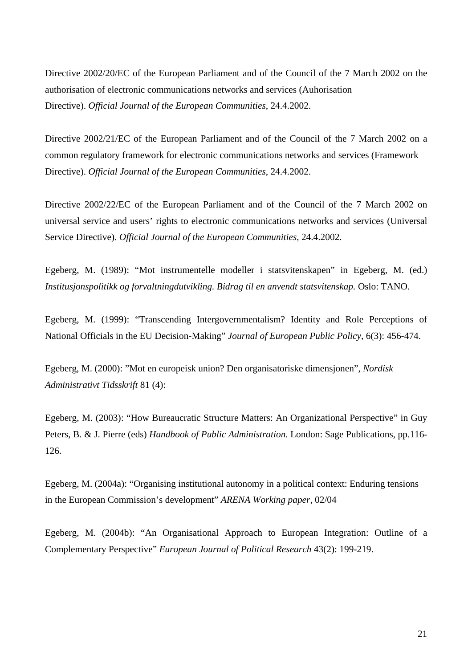Directive 2002/20/EC of the European Parliament and of the Council of the 7 March 2002 on the authorisation of electronic communications networks and services (Auhorisation Directive). *Official Journal of the European Communities*, 24.4.2002.

Directive 2002/21/EC of the European Parliament and of the Council of the 7 March 2002 on a common regulatory framework for electronic communications networks and services (Framework Directive). *Official Journal of the European Communities*, 24.4.2002.

Directive 2002/22/EC of the European Parliament and of the Council of the 7 March 2002 on universal service and users' rights to electronic communications networks and services (Universal Service Directive). *Official Journal of the European Communities*, 24.4.2002.

Egeberg, M. (1989): "Mot instrumentelle modeller i statsvitenskapen" in Egeberg, M. (ed.) *Institusjonspolitikk og forvaltningdutvikling. Bidrag til en anvendt statsvitenskap.* Oslo: TANO.

Egeberg, M. (1999): "Transcending Intergovernmentalism? Identity and Role Perceptions of National Officials in the EU Decision-Making" *Journal of European Public Policy*, 6(3): 456-474.

Egeberg, M. (2000): "Mot en europeisk union? Den organisatoriske dimensjonen", *Nordisk Administrativt Tidsskrift* 81 (4):

Egeberg, M. (2003): "How Bureaucratic Structure Matters: An Organizational Perspective" in Guy Peters, B. & J. Pierre (eds) *Handbook of Public Administration*. London: Sage Publications, pp.116- 126.

Egeberg, M. (2004a): "Organising institutional autonomy in a political context: Enduring tensions in the European Commission's development" *ARENA Working paper,* 02/04

Egeberg, M. (2004b): "An Organisational Approach to European Integration: Outline of a Complementary Perspective" *European Journal of Political Research* 43(2): 199-219.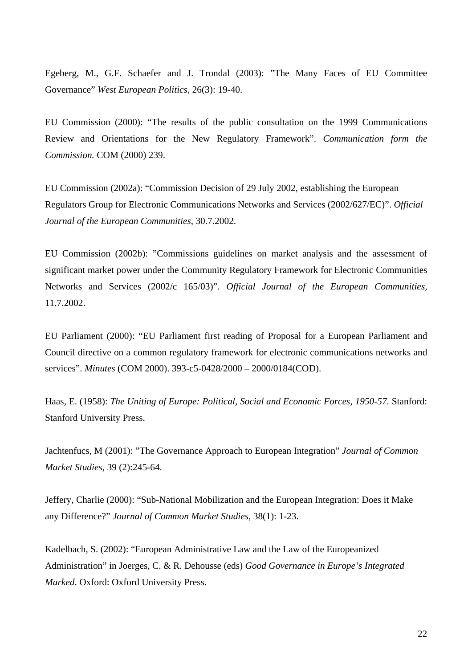Egeberg, M., G.F. Schaefer and J. Trondal (2003): "The Many Faces of EU Committee Governance" *West European Politics*, 26(3): 19-40.

EU Commission (2000): "The results of the public consultation on the 1999 Communications Review and Orientations for the New Regulatory Framework". *Communication form the Commission.* COM (2000) 239.

EU Commission (2002a): "Commission Decision of 29 July 2002, establishing the European Regulators Group for Electronic Communications Networks and Services (2002/627/EC)". *Official Journal of the European Communities*, 30.7.2002.

EU Commission (2002b): "Commissions guidelines on market analysis and the assessment of significant market power under the Community Regulatory Framework for Electronic Communities Networks and Services (2002/c 165/03)". *Official Journal of the European Communities,*  11.7.2002.

EU Parliament (2000): "EU Parliament first reading of Proposal for a European Parliament and Council directive on a common regulatory framework for electronic communications networks and services". *Minutes* (COM 2000). 393-c5-0428/2000 – 2000/0184(COD).

Haas, E. (1958): *The Uniting of Europe: Political, Social and Economic Forces, 1950-57.* Stanford: Stanford University Press.

Jachtenfucs, M (2001): "The Governance Approach to European Integration" *Journal of Common Market Studies*, 39 (2):245-64.

Jeffery, Charlie (2000): "Sub-National Mobilization and the European Integration: Does it Make any Difference?" *Journal of Common Market Studies,* 38(1): 1-23.

Kadelbach, S. (2002): "European Administrative Law and the Law of the Europeanized Administration" in Joerges, C. & R. Dehousse (eds) *Good Governance in Europe's Integrated Marked*. Oxford: Oxford University Press.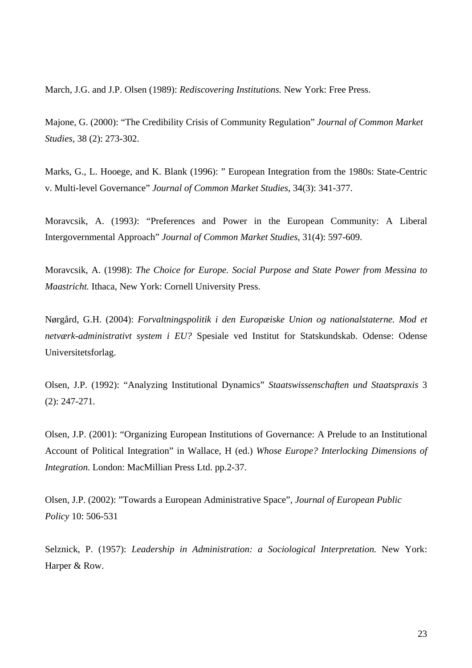March, J.G. and J.P. Olsen (1989): *Rediscovering Institutions.* New York: Free Press.

Majone, G. (2000): "The Credibility Crisis of Community Regulation" *Journal of Common Market Studies,* 38 (2): 273-302.

Marks, G., L. Hooege, and K. Blank (1996): " European Integration from the 1980s: State-Centric v. Multi-level Governance" *Journal of Common Market Studies*, 34(3): 341-377.

Moravcsik, A. (1993*)*: "Preferences and Power in the European Community: A Liberal Intergovernmental Approach" *Journal of Common Market Studies*, 31(4): 597-609.

Moravcsik, A. (1998): *The Choice for Europe. Social Purpose and State Power from Messina to Maastricht.* Ithaca, New York: Cornell University Press.

Nørgård, G.H. (2004): *Forvaltningspolitik i den Europæiske Union og nationalstaterne. Mod et netværk-administrativt system i EU?* Spesiale ved Institut for Statskundskab. Odense: Odense Universitetsforlag.

Olsen, J.P. (1992): "Analyzing Institutional Dynamics" *Staatswissenschaften und Staatspraxis* 3 (2): 247-271.

Olsen, J.P. (2001): "Organizing European Institutions of Governance: A Prelude to an Institutional Account of Political Integration" in Wallace, H (ed.) *Whose Europe? Interlocking Dimensions of Integration.* London: MacMillian Press Ltd. pp.2-37.

Olsen, J.P. (2002): "Towards a European Administrative Space", *Journal of European Public Policy* 10: 506-531

Selznick, P. (1957): *Leadership in Administration: a Sociological Interpretation.* New York: Harper & Row.